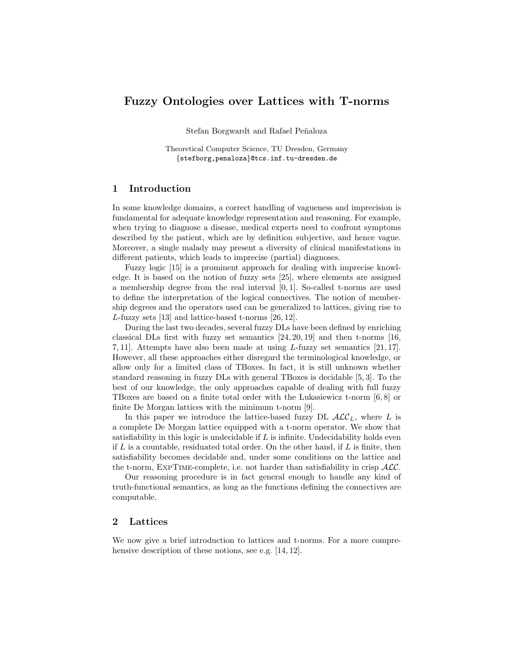# Fuzzy Ontologies over Lattices with T-norms

Stefan Borgwardt and Rafael Peñaloza

Theoretical Computer Science, TU Dresden, Germany {stefborg,penaloza}@tcs.inf.tu-dresden.de

#### 1 Introduction

In some knowledge domains, a correct handling of vagueness and imprecision is fundamental for adequate knowledge representation and reasoning. For example, when trying to diagnose a disease, medical experts need to confront symptoms described by the patient, which are by definition subjective, and hence vague. Moreover, a single malady may present a diversity of clinical manifestations in different patients, which leads to imprecise (partial) diagnoses.

Fuzzy logic [15] is a prominent approach for dealing with imprecise knowledge. It is based on the notion of fuzzy sets [25], where elements are assigned a membership degree from the real interval [0, 1]. So-called t-norms are used to define the interpretation of the logical connectives. The notion of membership degrees and the operators used can be generalized to lattices, giving rise to L-fuzzy sets [13] and lattice-based t-norms [26, 12].

During the last two decades, several fuzzy DLs have been defined by enriching classical DLs first with fuzzy set semantics [24, 20, 19] and then t-norms [16, 7, 11]. Attempts have also been made at using L-fuzzy set semantics [21, 17]. However, all these approaches either disregard the terminological knowledge, or allow only for a limited class of TBoxes. In fact, it is still unknown whether standard reasoning in fuzzy DLs with general TBoxes is decidable [5, 3]. To the best of our knowledge, the only approaches capable of dealing with full fuzzy TBoxes are based on a finite total order with the Lukasiewicz t-norm [6, 8] or finite De Morgan lattices with the minimum t-norm [9].

In this paper we introduce the lattice-based fuzzy DL  $\mathcal{ALC}_L$ , where L is a complete De Morgan lattice equipped with a t-norm operator. We show that satisfiability in this logic is undecidable if  $L$  is infinite. Undecidability holds even if  $L$  is a countable, residuated total order. On the other hand, if  $L$  is finite, then satisfiability becomes decidable and, under some conditions on the lattice and the t-norm,  $EXPTIME-complete$ , i.e. not harder than satisfiability in crisp  $ALC$ .

Our reasoning procedure is in fact general enough to handle any kind of truth-functional semantics, as long as the functions defining the connectives are computable.

## 2 Lattices

We now give a brief introduction to lattices and t-norms. For a more comprehensive description of these notions, see e.g. [14, 12].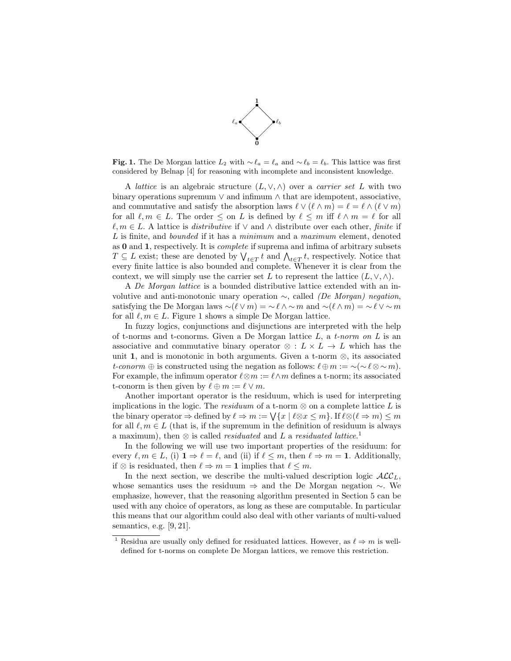

Fig. 1. The De Morgan lattice  $L_2$  with  $\sim \ell_a = \ell_a$  and  $\sim \ell_b = \ell_b$ . This lattice was first considered by Belnap [4] for reasoning with incomplete and inconsistent knowledge.

A lattice is an algebraic structure  $(L, \vee, \wedge)$  over a *carrier set* L with two binary operations supremum ∨ and infimum ∧ that are idempotent, associative, and commutative and satisfy the absorption laws  $\ell \vee (\ell \wedge m) = \ell = \ell \wedge (\ell \vee m)$ for all  $\ell, m \in L$ . The order  $\leq$  on L is defined by  $\ell \leq m$  iff  $\ell \wedge m = \ell$  for all  $\ell, m \in L$ . A lattice is *distributive* if  $\vee$  and  $\wedge$  distribute over each other, *finite* if L is finite, and *bounded* if it has a *minimum* and a *maximum* element, denoted as 0 and 1, respectively. It is complete if suprema and infima of arbitrary subsets  $T \subseteq L$  exist; these are denoted by  $\bigvee_{t \in T} t$  and  $\bigwedge_{t \in T} t$ , respectively. Notice that every finite lattice is also bounded and complete. Whenever it is clear from the context, we will simply use the carrier set L to represent the lattice  $(L, \vee, \wedge)$ .

A De Morgan lattice is a bounded distributive lattice extended with an involutive and anti-monotonic unary operation  $\sim$ , called (De Morgan) negation, satisfying the De Morgan laws  $\sim(\ell \vee m) = \sim \ell \wedge \sim m$  and  $\sim(\ell \wedge m) = \sim \ell \vee \sim m$ for all  $\ell, m \in L$ . Figure 1 shows a simple De Morgan lattice.

In fuzzy logics, conjunctions and disjunctions are interpreted with the help of t-norms and t-conorms. Given a De Morgan lattice  $L$ , a t-norm on  $L$  is an associative and commutative binary operator  $\otimes$  :  $L \times L \rightarrow L$  which has the unit 1, and is monotonic in both arguments. Given a t-norm  $\otimes$ , its associated t-conorm  $\oplus$  is constructed using the negation as follows:  $\ell \oplus m := \sim (\sim \ell \otimes \sim m)$ . For example, the infimum operator  $\ell \otimes m := \ell \wedge m$  defines a t-norm; its associated t-conorm is then given by  $\ell \oplus m := \ell \vee m$ .

Another important operator is the residuum, which is used for interpreting implications in the logic. The residuum of a t-norm  $\otimes$  on a complete lattice L is the binary operator  $\Rightarrow$  defined by  $\ell \Rightarrow m := \bigvee \{x \mid \ell \otimes x \leq m\}$ . If  $\ell \otimes (\ell \Rightarrow m) \leq m$ for all  $\ell, m \in L$  (that is, if the supremum in the definition of residuum is always a maximum), then  $\otimes$  is called *residuated* and L a *residuated lattice*.<sup>1</sup>

In the following we will use two important properties of the residuum: for every  $\ell, m \in L$ , (i)  $1 \Rightarrow \ell = \ell$ , and (ii) if  $\ell \leq m$ , then  $\ell \Rightarrow m = 1$ . Additionally, if ⊗ is residuated, then  $\ell \Rightarrow m = 1$  implies that  $\ell \leq m$ .

In the next section, we describe the multi-valued description logic  $\mathcal{ALC}_L$ , whose semantics uses the residuum ⇒ and the De Morgan negation ∼. We emphasize, however, that the reasoning algorithm presented in Section 5 can be used with any choice of operators, as long as these are computable. In particular this means that our algorithm could also deal with other variants of multi-valued semantics, e.g. [9, 21].

<sup>&</sup>lt;sup>1</sup> Residua are usually only defined for residuated lattices. However, as  $\ell \Rightarrow m$  is welldefined for t-norms on complete De Morgan lattices, we remove this restriction.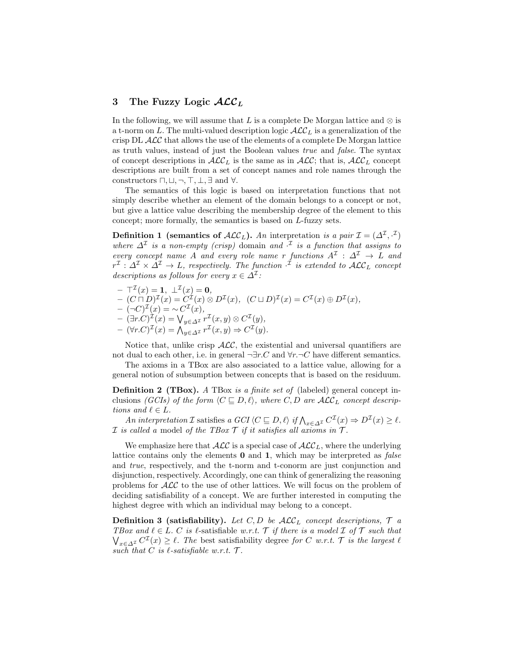## 3 The Fuzzy Logic  $\mathcal{ALC}_L$

In the following, we will assume that L is a complete De Morgan lattice and  $\otimes$  is a t-norm on L. The multi-valued description logic  $\mathcal{ALC}_L$  is a generalization of the crisp  $DL$   $\mathcal{ALC}$  that allows the use of the elements of a complete De Morgan lattice as truth values, instead of just the Boolean values true and false. The syntax of concept descriptions in  $\mathcal{ALC}_L$  is the same as in  $\mathcal{ALC}$ ; that is,  $\mathcal{ALC}_L$  concept descriptions are built from a set of concept names and role names through the constructors  $\sqcap, \sqcup, \neg, \top, \bot, \exists$  and  $\forall$ .

The semantics of this logic is based on interpretation functions that not simply describe whether an element of the domain belongs to a concept or not, but give a lattice value describing the membership degree of the element to this concept; more formally, the semantics is based on L-fuzzy sets.

**Definition 1** (semantics of  $\text{ALC}_L$ ). An interpretation is a pair  $\mathcal{I} = (\Delta^{\mathcal{I}}, \mathcal{I})$ where  $\Delta^{\mathcal{I}}$  is a non-empty (crisp) domain and  $\cdot^{\mathcal{I}}$  is a function that assigns to every concept name A and every role name r functions  $A^{\mathcal{I}} : \Delta^{\mathcal{I}} \to L$  and  $r^{\mathcal{I}}: \varDelta^{\mathcal{I}} \times \varDelta^{\mathcal{I}} \to L$ , respectively. The function  $\cdot^{\mathcal{I}}$  is extended to  $\mathcal{ALC}_L$  concept descriptions as follows for every  $x \in \Delta^{\mathcal{I}}$ :

- $\top^{\mathcal{I}}(x) = 1, \perp^{\mathcal{I}}(x) = 0,$
- $-(C \sqcap D)^{\mathcal{I}}(x) = C^{\mathcal{I}}(x) \otimes D^{\mathcal{I}}(x), \ \ (C \sqcup D)^{\mathcal{I}}(x) = C^{\mathcal{I}}(x) \oplus D^{\mathcal{I}}(x),$
- $-(-C)^{\mathcal{I}}(x) = \sim C^{\mathcal{I}}(x),$
- $(\exists r.C)^{\mathcal{I}}(x) = \bigvee_{y \in \Delta^{\mathcal{I}}} r^{\mathcal{I}}(x, y) \otimes C^{\mathcal{I}}(y),$
- $(\forall r.C)^{\mathcal{I}}(x) = \bigwedge_{y \in \Delta^{\mathcal{I}}} r^{\mathcal{I}}(x, y) \Rightarrow C^{\mathcal{I}}(y).$

Notice that, unlike crisp  $ALC$ , the existential and universal quantifiers are not dual to each other, i.e. in general  $\neg \exists r.C$  and  $\forall r.\neg C$  have different semantics.

The axioms in a TBox are also associated to a lattice value, allowing for a general notion of subsumption between concepts that is based on the residuum.

Definition 2 (TBox). A TBox is a finite set of (labeled) general concept inclusions (GCIs) of the form  $\langle C \sqsubseteq D, \ell \rangle$ , where C, D are  $\mathcal{ALC}_L$  concept descriptions and  $\ell \in L$ .

An interpretation I satisfies a GCI  $\langle C \sqsubseteq D, \ell \rangle$  if  $\bigwedge_{x \in \Delta^{\mathcal{I}}} C^{\mathcal{I}}(x) \Rightarrow D^{\mathcal{I}}(x) \geq \ell$ . *I* is called a model of the TBox  $\mathcal T$  if it satisfies all axioms in  $\mathcal T$ .

We emphasize here that  $\mathcal{ALC}$  is a special case of  $\mathcal{ALC}_L$ , where the underlying lattice contains only the elements 0 and 1, which may be interpreted as false and true, respectively, and the t-norm and t-conorm are just conjunction and disjunction, respectively. Accordingly, one can think of generalizing the reasoning problems for ALC to the use of other lattices. We will focus on the problem of deciding satisfiability of a concept. We are further interested in computing the highest degree with which an individual may belong to a concept.

**Definition 3 (satisfiability).** Let C, D be  $\mathcal{ALC}_L$  concept descriptions,  $\mathcal{T}$  a TBox and  $\ell \in L$ . C is  $\ell$ -satisfiable w.r.t. T if there is a model I of T such that  $\bigvee_{x \in \Delta^{\mathcal{I}}} C^{\mathcal{I}}(x) \geq \ell$ . The best satisfiability degree for C w.r.t. T is the largest  $\ell$ such that  $\hat{C}$  is  $\ell$ -satisfiable w.r.t.  $\mathcal{T}$ .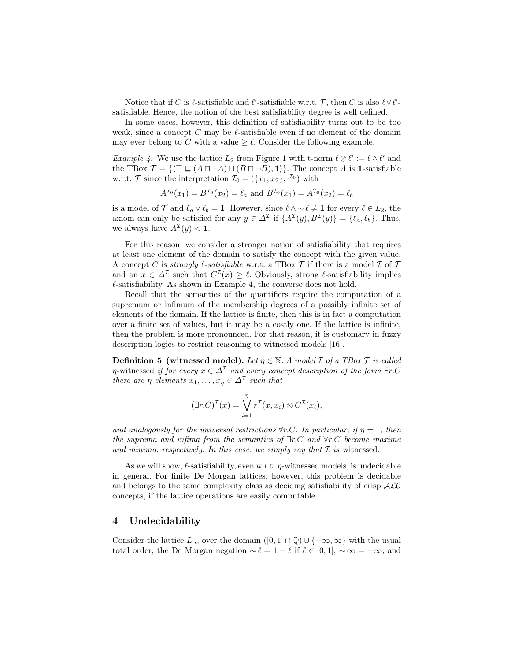Notice that if C is  $\ell$ -satisfiable and  $\ell'$ -satisfiable w.r.t. T, then C is also  $\ell \vee \ell'$ satisfiable. Hence, the notion of the best satisfiability degree is well defined.

In some cases, however, this definition of satisfiability turns out to be too weak, since a concept C may be  $\ell$ -satisfiable even if no element of the domain may ever belong to C with a value  $\geq \ell$ . Consider the following example.

*Example 4.* We use the lattice  $L_2$  from Figure 1 with t-norm  $\ell \otimes \ell' := \ell \wedge \ell'$  and the TBox  $\mathcal{T} = \{(\top \sqsubseteq (A \sqcap \neg A) \sqcup (B \sqcap \neg B), \mathbf{1})\}.$  The concept A is 1-satisfiable w.r.t. T since the interpretation  $\mathcal{I}_0 = (\{x_1, x_2\}, \mathcal{I}_0)$  with

$$
A^{\mathcal{I}_0}(x_1) = B^{\mathcal{I}_0}(x_2) = \ell_a
$$
 and  $B^{\mathcal{I}_0}(x_1) = A^{\mathcal{I}_0}(x_2) = \ell_b$ 

is a model of  $\mathcal T$  and  $\ell_a \vee \ell_b = 1$ . However, since  $\ell \wedge \ell \neq 1$  for every  $\ell \in L_2$ , the axiom can only be satisfied for any  $y \in \Delta^{\mathcal{I}}$  if  $\{A^{\mathcal{I}}(y), B^{\mathcal{I}}(y)\} = \{\ell_a, \ell_b\}.$  Thus, we always have  $A^{\mathcal{I}}(y) < 1$ .

For this reason, we consider a stronger notion of satisfiability that requires at least one element of the domain to satisfy the concept with the given value. A concept C is strongly  $\ell$ -satisfiable w.r.t. a TBox T if there is a model  $\mathcal I$  of T and an  $x \in \Delta^{\mathcal{I}}$  such that  $C^{\mathcal{I}}(x) \geq \ell$ . Obviously, strong  $\ell$ -satisfiability implies  $\ell$ -satisfiability. As shown in Example 4, the converse does not hold.

Recall that the semantics of the quantifiers require the computation of a supremum or infimum of the membership degrees of a possibly infinite set of elements of the domain. If the lattice is finite, then this is in fact a computation over a finite set of values, but it may be a costly one. If the lattice is infinite, then the problem is more pronounced. For that reason, it is customary in fuzzy description logics to restrict reasoning to witnessed models [16].

**Definition 5 (witnessed model).** Let  $\eta \in \mathbb{N}$ . A model  $\mathcal{I}$  of a TBox  $\mathcal{T}$  is called  $\eta$ -witnessed if for every  $x \in \Delta^{\mathcal{I}}$  and every concept description of the form  $\exists r.C$ there are  $\eta$  elements  $x_1, \ldots, x_\eta \in \Delta^{\mathcal{I}}$  such that

$$
(\exists r.C)^{\mathcal{I}}(x) = \bigvee_{i=1}^{\eta} r^{\mathcal{I}}(x, x_i) \otimes C^{\mathcal{I}}(x_i),
$$

and analogously for the universal restrictions  $\forall r.C.$  In particular, if  $\eta = 1$ , then the suprema and infima from the semantics of  $\exists r.C$  and  $\forall r.C$  become maxima and minima, respectively. In this case, we simply say that  $\mathcal I$  is witnessed.

As we will show,  $\ell$ -satisfiability, even w.r.t.  $\eta$ -witnessed models, is undecidable in general. For finite De Morgan lattices, however, this problem is decidable and belongs to the same complexity class as deciding satisfiability of crisp  $\mathcal{ALC}$ concepts, if the lattice operations are easily computable.

## 4 Undecidability

Consider the lattice  $L_{\infty}$  over the domain  $([0,1] \cap \mathbb{Q}) \cup \{-\infty,\infty\}$  with the usual total order, the De Morgan negation  $\sim \ell = 1 - \ell$  if  $\ell \in [0, 1], \sim \infty = -\infty$ , and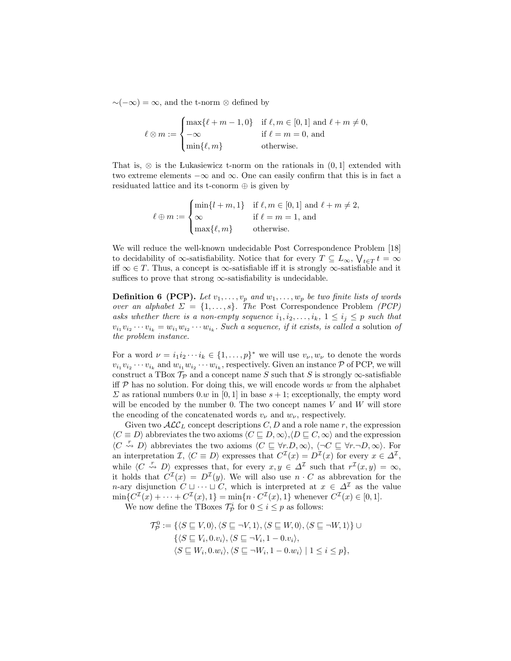$∼(-\infty) = \infty$ , and the t-norm ⊗ defined by

$$
\ell \otimes m := \begin{cases} \max\{\ell+m-1,0\} & \text{if } \ell,m \in [0,1] \text{ and } \ell+m \neq 0, \\ -\infty & \text{if } \ell=m=0, \text{ and} \\ \min\{\ell,m\} & \text{otherwise.} \end{cases}
$$

That is,  $\otimes$  is the Lukasiewicz t-norm on the rationals in  $(0,1]$  extended with two extreme elements  $-\infty$  and  $\infty$ . One can easily confirm that this is in fact a residuated lattice and its t-conorm  $\oplus$  is given by

> $\ell \oplus m :=$  $\sqrt{ }$  $\int$  $\overline{a}$  $\min\{l + m, 1\}$  if  $\ell, m \in [0, 1]$  and  $\ell + m \neq 2$ ,  $\infty$  if  $\ell = m = 1$ , and  $\max\{\ell, m\}$  otherwise.

We will reduce the well-known undecidable Post Correspondence Problem [18] to decidability of  $\infty$ -satisfiability. Notice that for every  $T \subseteq L_{\infty}$ ,  $\bigvee_{t \in T} t = \infty$ iff  $\infty \in T$ . Thus, a concept is  $\infty$ -satisfiable iff it is strongly  $\infty$ -satisfiable and it suffices to prove that strong  $\infty$ -satisfiability is undecidable.

**Definition 6 (PCP).** Let  $v_1, \ldots, v_p$  and  $w_1, \ldots, w_p$  be two finite lists of words over an alphabet  $\Sigma = \{1, \ldots, s\}$ . The Post Correspondence Problem (PCP) asks whether there is a non-empty sequence  $i_1, i_2, \ldots, i_k, 1 \leq i_j \leq p$  such that  $v_{i_1}v_{i_2}\cdots v_{i_k} = w_{i_1}w_{i_2}\cdots w_{i_k}$ . Such a sequence, if it exists, is called a solution of the problem instance.

For a word  $\nu = i_1 i_2 \cdots i_k \in \{1, \ldots, p\}^*$  we will use  $v_{\nu}, w_{\nu}$  to denote the words  $v_{i_1}v_{i_2}\cdots v_{i_k}$  and  $w_{i_1}w_{i_2}\cdots w_{i_k}$ , respectively. Given an instance  $P$  of PCP, we will construct a TBox  $\mathcal{T}_{\mathcal{P}}$  and a concept name S such that S is strongly  $\infty$ -satisfiable iff  $P$  has no solution. For doing this, we will encode words  $w$  from the alphabet  $\Sigma$  as rational numbers 0.w in [0, 1] in base  $s + 1$ ; exceptionally, the empty word will be encoded by the number 0. The two concept names  $V$  and  $W$  will store the encoding of the concatenated words  $v_{\nu}$  and  $w_{\nu}$ , respectively.

Given two  $\mathcal{ALC}_L$  concept descriptions C, D and a role name r, the expression  $\langle C \equiv D \rangle$  abbreviates the two axioms  $\langle C \sqsubseteq D, \infty \rangle$ ,  $\langle D \sqsubseteq C, \infty \rangle$  and the expression  $\langle C \stackrel{r}{\leadsto} D \rangle$  abbreviates the two axioms  $\langle C \sqsubseteq \forall r.D,\infty \rangle$ ,  $\langle \neg C \sqsubseteq \forall r.\neg D,\infty \rangle$ . For an interpretation  $\mathcal{I}, \langle C \equiv D \rangle$  expresses that  $C^{\mathcal{I}}(x) = D^{\mathcal{I}}(x)$  for every  $x \in \Delta^{\mathcal{I}}$ , while  $\langle C \stackrel{r}{\leadsto} D \rangle$  expresses that, for every  $x, y \in \Delta^{\mathcal{I}}$  such that  $r^{\mathcal{I}}(x, y) = \infty$ , it holds that  $C^{\mathcal{I}}(x) = D^{\mathcal{I}}(y)$ . We will also use  $n \cdot C$  as abbrevation for the n-ary disjunction  $C \sqcup \cdots \sqcup C$ , which is interpreted at  $x \in \Delta^{\mathcal{I}}$  as the value  $\min\{C^{\mathcal{I}}(x) + \cdots + C^{\mathcal{I}}(x), 1\} = \min\{n \cdot C^{\mathcal{I}}(x), 1\}$  whenever  $C^{\mathcal{I}}(x) \in [0, 1]$ .

We now define the TBoxes  $\mathcal{T}_{\mathcal{P}}^i$  for  $0 \leq i \leq p$  as follows:

$$
\mathcal{T}_{\mathcal{P}}^{0} := \{ \langle S \sqsubseteq V, 0 \rangle, \langle S \sqsubseteq \neg V, 1 \rangle, \langle S \sqsubseteq W, 0 \rangle, \langle S \sqsubseteq \neg W, 1 \rangle \} \cup \{ \langle S \sqsubseteq V_i, 0.v_i \rangle, \langle S \sqsubseteq \neg V_i, 1 - 0.v_i \rangle, \\ \langle S \sqsubseteq W_i, 0.w_i \rangle, \langle S \sqsubseteq \neg W_i, 1 - 0.w_i \rangle \mid 1 \leq i \leq p \},\
$$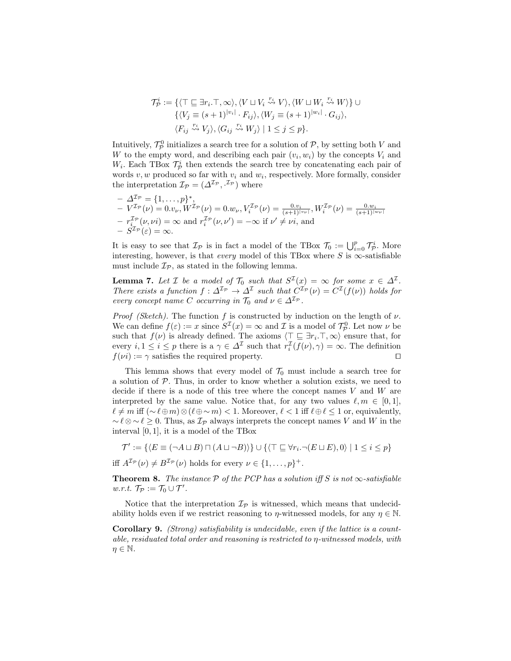$$
\mathcal{T}_\mathcal{P}^i := \{ \langle \top \sqsubseteq \exists r_i. \top, \infty \rangle, \langle V \sqcup V_i \stackrel{r_i}{\leadsto} V \rangle, \langle W \sqcup W_i \stackrel{r_i}{\leadsto} W \rangle \} \cup \n\{ \langle V_j \equiv (s+1)^{|v_i|} \cdot F_{ij} \rangle, \langle W_j \equiv (s+1)^{|w_i|} \cdot G_{ij} \rangle, \n\langle F_{ij} \stackrel{r_i}{\leadsto} V_j \rangle, \langle G_{ij} \stackrel{r_i}{\leadsto} W_j \rangle \mid 1 \leq j \leq p \}.
$$

Intuitively,  $\mathcal{T}_{\mathcal{P}}^0$  initializes a search tree for a solution of  $\mathcal{P}$ , by setting both V and W to the empty word, and describing each pair  $(v_i, w_i)$  by the concepts  $V_i$  and  $W_i$ . Each TBox  $\mathcal{T}_{\mathcal{P}}^i$  then extends the search tree by concatenating each pair of words  $v, w$  produced so far with  $v_i$  and  $w_i$ , respectively. More formally, consider the interpretation  $\mathcal{I}_{\mathcal{P}} = (\Delta^{\mathcal{I}_{\mathcal{P}}}, \cdot^{\mathcal{I}_{\mathcal{P}}})$  where

$$
- \Delta^{\mathcal{I}_{\mathcal{P}}} = \{1, ..., p\}^*,
$$
  
\n
$$
- V^{\mathcal{I}_{\mathcal{P}}}(\nu) = 0.v_{\nu}, W^{\mathcal{I}_{\mathcal{P}}}(\nu) = 0.w_{\nu}, V_i^{\mathcal{I}_{\mathcal{P}}}(\nu) = \frac{0.v_{i}}{(s+1)^{|v_{\nu}|}}, W_i^{\mathcal{I}_{\mathcal{P}}}(\nu) = \frac{0.w_{i}}{(s+1)^{|w_{\nu}|}}
$$
  
\n
$$
- r_{i}^{\mathcal{I}_{\mathcal{P}}}(\nu, \nu i) = \infty \text{ and } r_{i}^{\mathcal{I}_{\mathcal{P}}}(\nu, \nu') = -\infty \text{ if } \nu' \neq \nu i, \text{ and}
$$
  
\n
$$
- S^{\mathcal{I}_{\mathcal{P}}}(\varepsilon) = \infty.
$$

It is easy to see that  $\mathcal{I}_{\mathcal{P}}$  is in fact a model of the TBox  $\mathcal{T}_0 := \bigcup_{i=0}^p \mathcal{T}_{\mathcal{P}}^i$ . More interesting, however, is that *every* model of this TBox where S is  $\infty$ -satisfiable must include  $\mathcal{I}_{\mathcal{P}}$ , as stated in the following lemma.

**Lemma 7.** Let *I* be a model of  $\mathcal{T}_0$  such that  $S^{\mathcal{I}}(x) = \infty$  for some  $x \in \Delta^{\mathcal{I}}$ . There exists a function  $f: \Delta^{\mathcal{I}_P} \to \Delta^{\mathcal{I}}$  such that  $C^{\mathcal{I}_P}(\nu) = C^{\mathcal{I}}(f(\nu))$  holds for every concept name C occurring in  $\mathcal{T}_0$  and  $\nu \in \Delta^{\mathcal{I}_{\mathcal{P}}}$ .

*Proof (Sketch)*. The function f is constructed by induction on the length of  $\nu$ . We can define  $f(\varepsilon) := x$  since  $S^{\mathcal{I}}(x) = \infty$  and  $\mathcal{I}$  is a model of  $\mathcal{T}_{\mathcal{P}}^0$ . Let now  $\nu$  be such that  $f(\nu)$  is already defined. The axioms  $\langle \top \sqsubseteq \exists r_i.\top, \infty \rangle$  ensure that, for every  $i, 1 \leq i \leq p$  there is a  $\gamma \in \Delta^{\mathcal{I}}$  such that  $r_i^{\mathcal{I}}(f(\nu), \gamma) = \infty$ . The definition  $f(v_i) := \gamma$  satisfies the required property.

This lemma shows that every model of  $\mathcal{T}_0$  must include a search tree for a solution of  $P$ . Thus, in order to know whether a solution exists, we need to decide if there is a node of this tree where the concept names  $V$  and  $W$  are interpreted by the same value. Notice that, for any two values  $\ell, m \in [0, 1],$  $\ell \neq m$  iff  $({\sim} \ell \oplus m) \otimes (\ell \oplus {\sim} m) < 1$ . Moreover,  $\ell < 1$  iff  $\ell \oplus \ell \leq 1$  or, equivalently,  $\sim \ell \otimes \ell \geq 0$ . Thus, as  $\mathcal{I}_{\mathcal{P}}$  always interprets the concept names V and W in the interval  $[0, 1]$ , it is a model of the TBox

$$
\mathcal{T}' := \{ \langle E \equiv (\neg A \sqcup B) \sqcap (A \sqcup \neg B) \rangle \} \cup \{ \langle \top \sqsubseteq \forall r_i \neg (E \sqcup E), 0 \rangle \mid 1 \leq i \leq p \}
$$

iff  $A^{\mathcal{I}_{\mathcal{P}}}(\nu) \neq B^{\mathcal{I}_{\mathcal{P}}}(\nu)$  holds for every  $\nu \in \{1, \ldots, p\}^+$ .

**Theorem 8.** The instance  $P$  of the PCP has a solution iff S is not  $\infty$ -satisfiable w.r.t.  $\mathcal{T}_{\mathcal{P}} := \mathcal{T}_0 \cup \mathcal{T}'$ .

Notice that the interpretation  $\mathcal{I}_{\mathcal{P}}$  is witnessed, which means that undecidability holds even if we restrict reasoning to  $\eta$ -witnessed models, for any  $\eta \in \mathbb{N}$ .

Corollary 9. (Strong) satisfiability is undecidable, even if the lattice is a countable, residuated total order and reasoning is restricted to η-witnessed models, with  $n \in \mathbb{N}$ .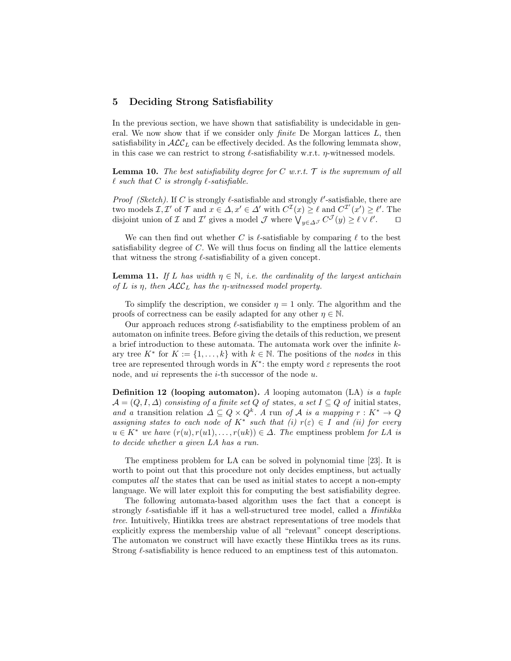#### 5 Deciding Strong Satisfiability

In the previous section, we have shown that satisfiability is undecidable in general. We now show that if we consider only *finite* De Morgan lattices  $L$ , then satisfiability in  $\mathcal{ALC}_L$  can be effectively decided. As the following lemmata show, in this case we can restrict to strong  $\ell$ -satisfiability w.r.t.  $\eta$ -witnessed models.

**Lemma 10.** The best satisfiability degree for C w.r.t.  $\mathcal{T}$  is the supremum of all  $\ell$  such that C is strongly  $\ell$ -satisfiable.

*Proof (Sketch)*. If C is strongly  $\ell$ -satisfiable and strongly  $\ell'$ -satisfiable, there are two models  $\mathcal{I}, \mathcal{I}'$  of  $\mathcal{T}$  and  $x \in \Delta$ ,  $x' \in \Delta'$  with  $C^{\mathcal{I}}(x) \geq \ell$  and  $C^{\mathcal{I}'}(x') \geq \ell'$ . The disjoint union of  $\mathcal I$  and  $\mathcal I'$  gives a model  $\mathcal J$  where  $\bigvee_{y\in \Delta^{\mathcal J}} C^{\mathcal J}(y)\geq \ell\vee\ell'$  $\Box$ 

We can then find out whether C is  $\ell$ -satisfiable by comparing  $\ell$  to the best satisfiability degree of C. We will thus focus on finding all the lattice elements that witness the strong  $\ell$ -satisfiability of a given concept.

**Lemma 11.** If L has width  $\eta \in \mathbb{N}$ , i.e. the cardinality of the largest antichain of L is  $\eta$ , then  $\mathcal{ALC}_L$  has the  $\eta$ -witnessed model property.

To simplify the description, we consider  $\eta = 1$  only. The algorithm and the proofs of correctness can be easily adapted for any other  $\eta \in \mathbb{N}$ .

Our approach reduces strong  $\ell$ -satisfiability to the emptiness problem of an automaton on infinite trees. Before giving the details of this reduction, we present a brief introduction to these automata. The automata work over the infinite kary tree  $K^*$  for  $K := \{1, \ldots, k\}$  with  $k \in \mathbb{N}$ . The positions of the *nodes* in this tree are represented through words in  $K^*$ : the empty word  $\varepsilon$  represents the root node, and *ui* represents the *i*-th successor of the node *u*.

**Definition 12 (looping automaton).** A looping automaton  $(LA)$  is a tuple  $\mathcal{A} = (Q, I, \Delta)$  consisting of a finite set Q of states, a set  $I \subseteq Q$  of initial states, and a transition relation  $\Delta \subseteq Q \times Q^k$ . A run of A is a mapping  $r : K^* \to Q$ assigning states to each node of  $K^*$  such that  $(i)$   $r(\varepsilon) \in I$  and  $(ii)$  for every  $u \in K^*$  we have  $(r(u), r(u1), \ldots, r(uk)) \in \Delta$ . The emptiness problem for LA is to decide whether a given LA has a run.

The emptiness problem for LA can be solved in polynomial time [23]. It is worth to point out that this procedure not only decides emptiness, but actually computes all the states that can be used as initial states to accept a non-empty language. We will later exploit this for computing the best satisfiability degree.

The following automata-based algorithm uses the fact that a concept is strongly  $\ell$ -satisfiable iff it has a well-structured tree model, called a *Hintikka* tree. Intuitively, Hintikka trees are abstract representations of tree models that explicitly express the membership value of all "relevant" concept descriptions. The automaton we construct will have exactly these Hintikka trees as its runs. Strong  $\ell$ -satisfiability is hence reduced to an emptiness test of this automaton.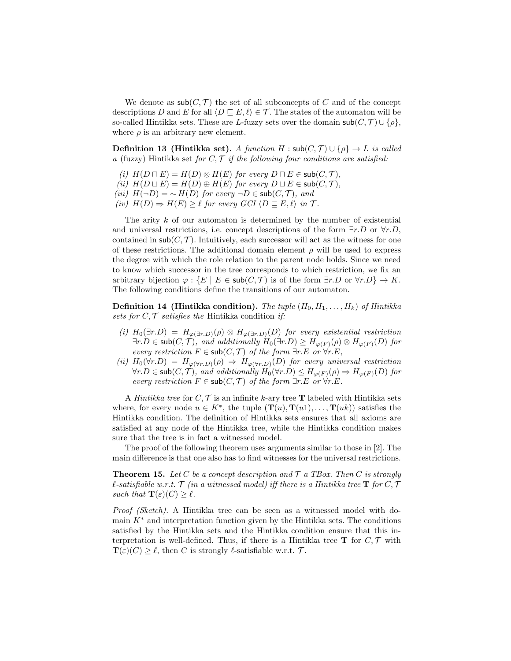We denote as  $\mathsf{sub}(C, \mathcal{T})$  the set of all subconcepts of C and of the concept descriptions D and E for all  $\langle D \sqsubseteq E, \ell \rangle \in \mathcal{T}$ . The states of the automaton will be so-called Hintikka sets. These are L-fuzzy sets over the domain  $\mathsf{sub}(C, \mathcal{T}) \cup \{\rho\},$ where  $\rho$  is an arbitrary new element.

**Definition 13 (Hintikka set).** A function H :  $\mathsf{sub}(C, \mathcal{T}) \cup \{\rho\} \to L$  is called a (fuzzy) Hintikka set for  $C, \mathcal{T}$  if the following four conditions are satisfied:

- (i)  $H(D \sqcap E) = H(D) \otimes H(E)$  for every  $D \sqcap E \in sub(C, \mathcal{T}),$
- (ii)  $H(D \sqcup E) = H(D) \oplus H(E)$  for every  $D \sqcup E \in sub(C, \mathcal{T}),$
- (iii)  $H(\neg D) = \neg H(D)$  for every  $\neg D \in sub(C, \mathcal{T})$ , and
- (iv)  $H(D) \Rightarrow H(E) \geq \ell$  for every  $GCI \langle D \sqsubseteq E, \ell \rangle$  in  $\mathcal{T}$ .

The arity k of our automaton is determined by the number of existential and universal restrictions, i.e. concept descriptions of the form  $\exists r.D$  or  $\forall r.D$ , contained in  $\mathsf{sub}(C, \mathcal{T})$ . Intuitively, each successor will act as the witness for one of these restrictions. The additional domain element  $\rho$  will be used to express the degree with which the role relation to the parent node holds. Since we need to know which successor in the tree corresponds to which restriction, we fix an arbitrary bijection  $\varphi : \{E \mid E \in sub(C, \mathcal{T}) \text{ is of the form } \exists r.D \text{ or } \forall r.D\} \to K.$ The following conditions define the transitions of our automaton.

**Definition 14 (Hintikka condition).** The tuple  $(H_0, H_1, \ldots, H_k)$  of Hintikka sets for  $C, \mathcal{T}$  satisfies the Hintikka condition if:

- (i)  $H_0(\exists r.D) = H_{\varphi(\exists r.D)}(\rho) \otimes H_{\varphi(\exists r.D)}(D)$  for every existential restriction  $\exists r.D \in \mathsf{sub}(C, \mathcal{T})$ , and additionally  $H_0(\exists r.D) \geq H_{\varphi(F)}(\rho) \otimes H_{\varphi(F)}(D)$  for every restriction  $F \in sub(C, \mathcal{T})$  of the form  $\exists r.E$  or  $\forall r.E$ ,
- (ii)  $H_0(\forall r.D) = H_{\varphi(\forall r.D)}(\rho) \Rightarrow H_{\varphi(\forall r.D)}(D)$  for every universal restriction  $\forall r.D \in \mathsf{sub}(C, \mathcal{T})$ , and additionally  $H_0(\forall r.D) \leq H_{\varphi(F)}(\rho) \Rightarrow H_{\varphi(F)}(D)$  for every restriction  $F \in sub(C, \mathcal{T})$  of the form  $\exists r.E$  or  $\forall r.E$ .

A Hintikka tree for  $C, \mathcal{T}$  is an infinite k-ary tree **T** labeled with Hintikka sets where, for every node  $u \in K^*$ , the tuple  $(\mathbf{T}(u), \mathbf{T}(u1), \ldots, \mathbf{T}(uk))$  satisfies the Hintikka condition. The definition of Hintikka sets ensures that all axioms are satisfied at any node of the Hintikka tree, while the Hintikka condition makes sure that the tree is in fact a witnessed model.

The proof of the following theorem uses arguments similar to those in [2]. The main difference is that one also has to find witnesses for the universal restrictions.

**Theorem 15.** Let C be a concept description and  $\mathcal{T}$  a TBox. Then C is strongly l-satisfiable w.r.t.  $\mathcal T$  (in a witnessed model) iff there is a Hintikka tree  $\mathbf T$  for  $C, \mathcal T$ such that  $\mathbf{T}(\varepsilon)(C) \geq \ell$ .

Proof (Sketch). A Hintikka tree can be seen as a witnessed model with domain  $K^*$  and interpretation function given by the Hintikka sets. The conditions satisfied by the Hintikka sets and the Hintikka condition ensure that this interpretation is well-defined. Thus, if there is a Hintikka tree  $\mathbf T$  for  $C, \mathcal T$  with  $\mathbf{T}(\varepsilon)(C) \geq \ell$ , then C is strongly  $\ell$ -satisfiable w.r.t. T.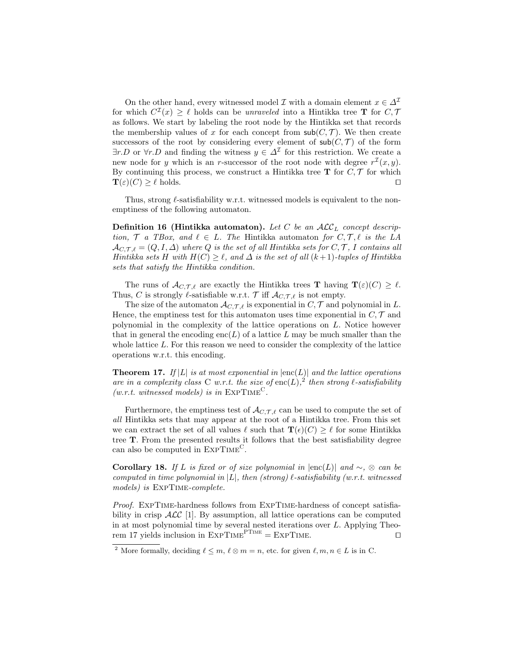On the other hand, every witnessed model  $\mathcal I$  with a domain element  $x \in \Delta^{\mathcal I}$ for which  $C^{T}(x) \geq \ell$  holds can be unraveled into a Hintikka tree **T** for C, 7 as follows. We start by labeling the root node by the Hintikka set that records the membership values of x for each concept from  $\mathsf{sub}(C, \mathcal{T})$ . We then create successors of the root by considering every element of  $sub(C, \mathcal{T})$  of the form  $\exists r.D$  or  $\forall r.D$  and finding the witness  $y \in \Delta^{\mathcal{I}}$  for this restriction. We create a new node for y which is an r-successor of the root node with degree  $r^{\mathcal{I}}(x, y)$ . By continuing this process, we construct a Hintikka tree  $\bf{T}$  for  $C, \mathcal{T}$  for which  $\mathbf{T}(\varepsilon)(C) \geq \ell$  holds.

Thus, strong  $\ell$ -satisfiability w.r.t. witnessed models is equivalent to the nonemptiness of the following automaton.

**Definition 16 (Hintikka automaton).** Let C be an  $ALC<sub>L</sub>$  concept description,  $\mathcal T$  a TBox, and  $\ell \in L$ . The Hintikka automaton for  $C, \mathcal T, \ell$  is the LA  $\mathcal{A}_{C,T,\ell} = (Q, I, \Delta)$  where Q is the set of all Hintikka sets for  $C, \mathcal{T}, I$  contains all Hintikka sets H with  $H(C) \geq \ell$ , and  $\Delta$  is the set of all  $(k+1)$ -tuples of Hintikka sets that satisfy the Hintikka condition.

The runs of  $\mathcal{A}_{C,\mathcal{T},\ell}$  are exactly the Hintikka trees **T** having  $\mathbf{T}(\varepsilon)(C) \geq \ell$ . Thus, C is strongly  $\ell$ -satisfiable w.r.t. T iff  $\mathcal{A}_{C,\mathcal{T},\ell}$  is not empty.

The size of the automaton  $\mathcal{A}_{C,\mathcal{T},\ell}$  is exponential in C, T and polynomial in L. Hence, the emptiness test for this automaton uses time exponential in  $C, \mathcal{T}$  and polynomial in the complexity of the lattice operations on L. Notice however that in general the encoding enc(L) of a lattice L may be much smaller than the whole lattice L. For this reason we need to consider the complexity of the lattice operations w.r.t. this encoding.

**Theorem 17.** If |L| is at most exponential in  $|enc(L)|$  and the lattice operations are in a complexity class C w.r.t. the size of enc $(L)$ ,  $\frac{1}{2}$  then strong  $\ell$ -satisfiability  $(w.r.t. \;witnessed \; models) \; is \; in \; EXPTIME<sup>C</sup>.$ 

Furthermore, the emptiness test of  $\mathcal{A}_{C,\mathcal{T},\ell}$  can be used to compute the set of all Hintikka sets that may appear at the root of a Hintikka tree. From this set we can extract the set of all values  $\ell$  such that  $\mathbf{T}(\epsilon)(C) \geq \ell$  for some Hintikka tree T. From the presented results it follows that the best satisfiability degree can also be computed in EXPTIME<sup>C</sup>.

Corollary 18. If L is fixed or of size polynomial in  $|enc(L)|$  and  $\sim$ , ⊗ can be computed in time polynomial in  $|L|$ , then (strong)  $\ell$ -satisfiability (w.r.t. witnessed models) is ExpTime-complete.

Proof. EXPTIME-hardness follows from EXPTIME-hardness of concept satisfiability in crisp  $\text{ALC}$  [1]. By assumption, all lattice operations can be computed in at most polynomial time by several nested iterations over L. Applying Theorem 17 yields inclusion in  $\text{ExpTIME}^{\text{PTIME}} = \text{ExpTIME}$ .

<sup>&</sup>lt;sup>2</sup> More formally, deciding  $\ell \leq m, \ell \otimes m = n$ , etc. for given  $\ell, m, n \in L$  is in C.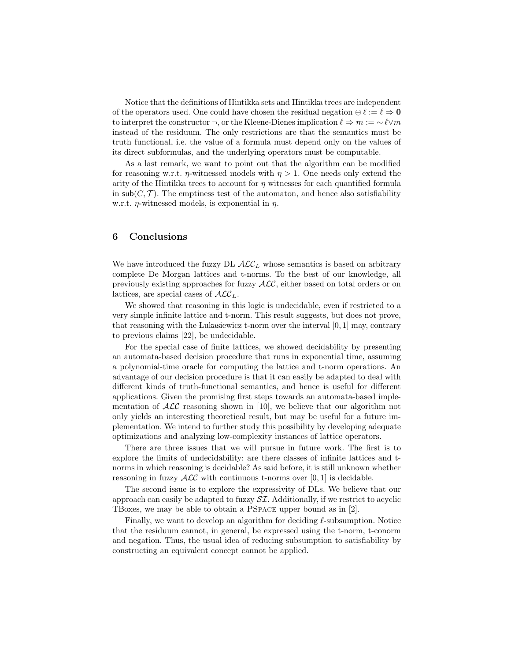Notice that the definitions of Hintikka sets and Hintikka trees are independent of the operators used. One could have chosen the residual negation  $\ominus \ell := \ell \Rightarrow 0$ to interpret the constructor ¬, or the Kleene-Dienes implication  $\ell \Rightarrow m := \sim \ell \vee m$ instead of the residuum. The only restrictions are that the semantics must be truth functional, i.e. the value of a formula must depend only on the values of its direct subformulas, and the underlying operators must be computable.

As a last remark, we want to point out that the algorithm can be modified for reasoning w.r.t.  $\eta$ -witnessed models with  $\eta > 1$ . One needs only extend the arity of the Hintikka trees to account for  $\eta$  witnesses for each quantified formula in  $\mathsf{sub}(C, \mathcal{T})$ . The emptiness test of the automaton, and hence also satisfiability w.r.t.  $\eta$ -witnessed models, is exponential in  $\eta$ .

## 6 Conclusions

We have introduced the fuzzy DL  $\mathcal{ALC}_L$  whose semantics is based on arbitrary complete De Morgan lattices and t-norms. To the best of our knowledge, all previously existing approaches for fuzzy ALC, either based on total orders or on lattices, are special cases of  $\mathcal{ALC}_L$ .

We showed that reasoning in this logic is undecidable, even if restricted to a very simple infinite lattice and t-norm. This result suggests, but does not prove, that reasoning with the Lukasiewicz t-norm over the interval  $[0, 1]$  may, contrary to previous claims [22], be undecidable.

For the special case of finite lattices, we showed decidability by presenting an automata-based decision procedure that runs in exponential time, assuming a polynomial-time oracle for computing the lattice and t-norm operations. An advantage of our decision procedure is that it can easily be adapted to deal with different kinds of truth-functional semantics, and hence is useful for different applications. Given the promising first steps towards an automata-based implementation of  $\mathcal{ALC}$  reasoning shown in [10], we believe that our algorithm not only yields an interesting theoretical result, but may be useful for a future implementation. We intend to further study this possibility by developing adequate optimizations and analyzing low-complexity instances of lattice operators.

There are three issues that we will pursue in future work. The first is to explore the limits of undecidability: are there classes of infinite lattices and tnorms in which reasoning is decidable? As said before, it is still unknown whether reasoning in fuzzy  $\text{ALC}$  with continuous t-norms over [0, 1] is decidable.

The second issue is to explore the expressivity of DLs. We believe that our approach can easily be adapted to fuzzy  $ST$ . Additionally, if we restrict to acyclic TBoxes, we may be able to obtain a PSpace upper bound as in [2].

Finally, we want to develop an algorithm for deciding  $\ell$ -subsumption. Notice that the residuum cannot, in general, be expressed using the t-norm, t-conorm and negation. Thus, the usual idea of reducing subsumption to satisfiability by constructing an equivalent concept cannot be applied.